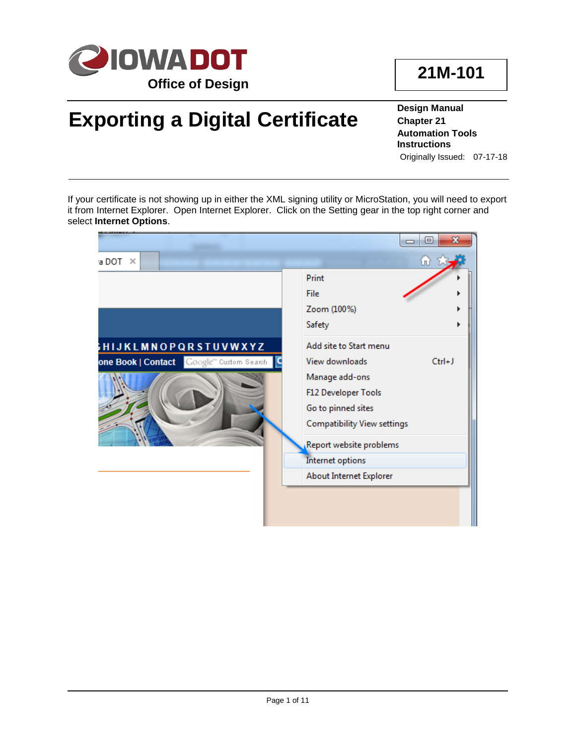

# **Exporting a Digital Certificate**

**Design Manual Chapter 21 Automation Tools Instructions** Originally Issued: 07-17-18

If your certificate is not showing up in either the XML signing utility or MicroStation, you will need to export it from Internet Explorer. Open Internet Explorer. Click on the Setting gear in the top right corner and select **Internet Options**.

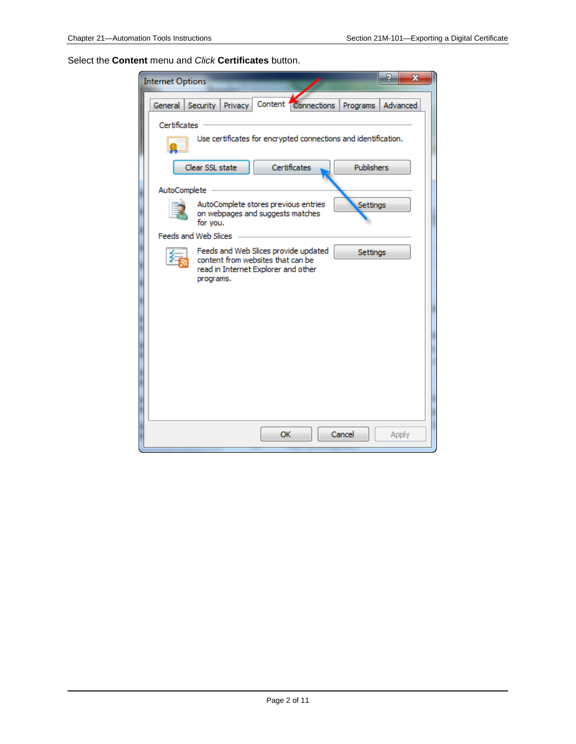Select the **Content** menu and *Click* **Certificates** button.

| <b>Internet Options</b>                                                                                                                   | x        |
|-------------------------------------------------------------------------------------------------------------------------------------------|----------|
| Content Connections<br>Security<br>General<br>Privacy<br>Programs                                                                         | Advanced |
| Certificates                                                                                                                              |          |
| Use certificates for encrypted connections and identification.                                                                            |          |
| Certificates<br>Publishers<br>Clear SSL state                                                                                             |          |
| AutoComplete                                                                                                                              |          |
| AutoComplete stores previous entries<br>Settings<br>on webpages and suggests matches<br>for you.                                          |          |
| Feeds and Web Slices                                                                                                                      |          |
| Feeds and Web Slices provide updated<br>Settings<br>content from websites that can be<br>read in Internet Explorer and other<br>programs. |          |
|                                                                                                                                           |          |
|                                                                                                                                           |          |
|                                                                                                                                           |          |
|                                                                                                                                           |          |
|                                                                                                                                           |          |
|                                                                                                                                           |          |
| OK<br>Cancel                                                                                                                              | Apply    |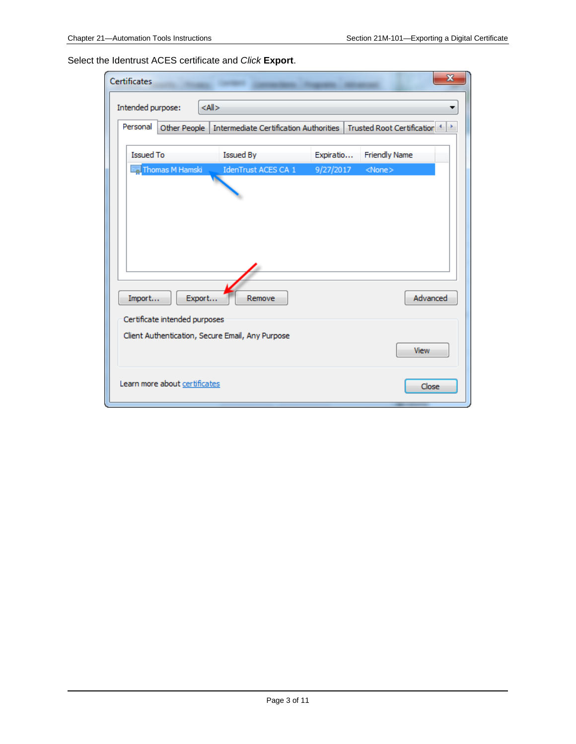Select the Identrust ACES certificate and *Click* **Export**.

| x<br><b>Certificates</b>                                                                         |                               |                                                  |           |                      |  |
|--------------------------------------------------------------------------------------------------|-------------------------------|--------------------------------------------------|-----------|----------------------|--|
| $<$ All $>$<br>Intended purpose:                                                                 |                               |                                                  |           |                      |  |
| Personal<br>Other People<br>Intermediate Certification Authorities<br>Trusted Root Certification |                               |                                                  |           |                      |  |
| <b>Issued To</b>                                                                                 |                               | <b>Issued By</b>                                 | Expiratio | <b>Friendly Name</b> |  |
|                                                                                                  | Thomas M Hamski               | IdenTrust ACES CA 1                              | 9/27/2017 | $<$ None $>$         |  |
|                                                                                                  |                               |                                                  |           |                      |  |
|                                                                                                  |                               |                                                  |           |                      |  |
|                                                                                                  |                               |                                                  |           |                      |  |
|                                                                                                  |                               |                                                  |           |                      |  |
|                                                                                                  |                               |                                                  |           |                      |  |
| Import                                                                                           | Export                        | Remove                                           |           | Advanced             |  |
|                                                                                                  | Certificate intended purposes |                                                  |           |                      |  |
|                                                                                                  |                               | Client Authentication, Secure Email, Any Purpose |           | View                 |  |
|                                                                                                  |                               |                                                  |           |                      |  |
|                                                                                                  | Learn more about certificates |                                                  |           | Close                |  |
|                                                                                                  |                               |                                                  |           |                      |  |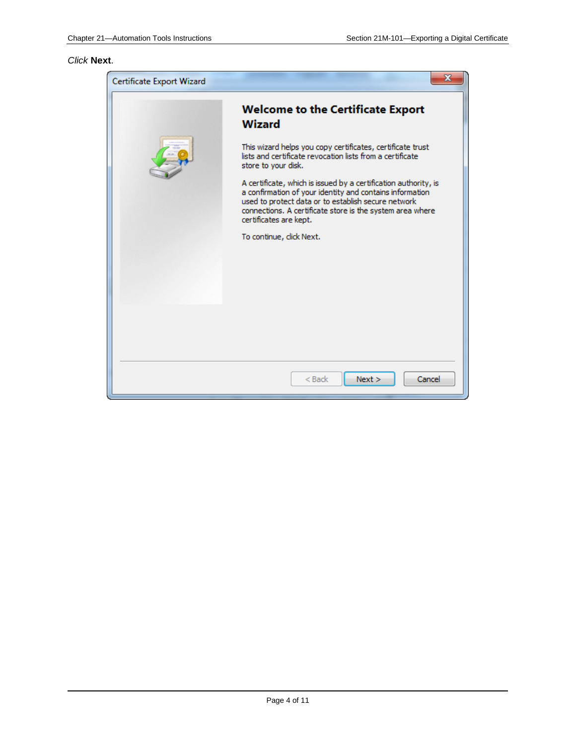#### *Click* **Next**.

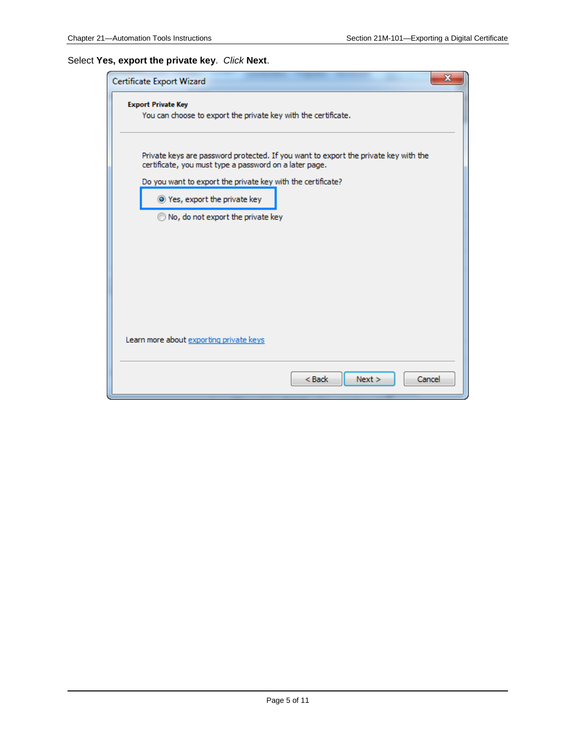### Select **Yes, export the private key**. *Click* **Next**.

| x<br>Certificate Export Wizard                                                                                                                |  |  |
|-----------------------------------------------------------------------------------------------------------------------------------------------|--|--|
| <b>Export Private Key</b><br>You can choose to export the private key with the certificate.                                                   |  |  |
| Private keys are password protected. If you want to export the private key with the<br>certificate, you must type a password on a later page. |  |  |
| Do you want to export the private key with the certificate?                                                                                   |  |  |
| O Yes, export the private key                                                                                                                 |  |  |
| No, do not export the private key                                                                                                             |  |  |
| Learn more about exporting private keys                                                                                                       |  |  |
| $<$ Back<br>Next ><br>Cancel                                                                                                                  |  |  |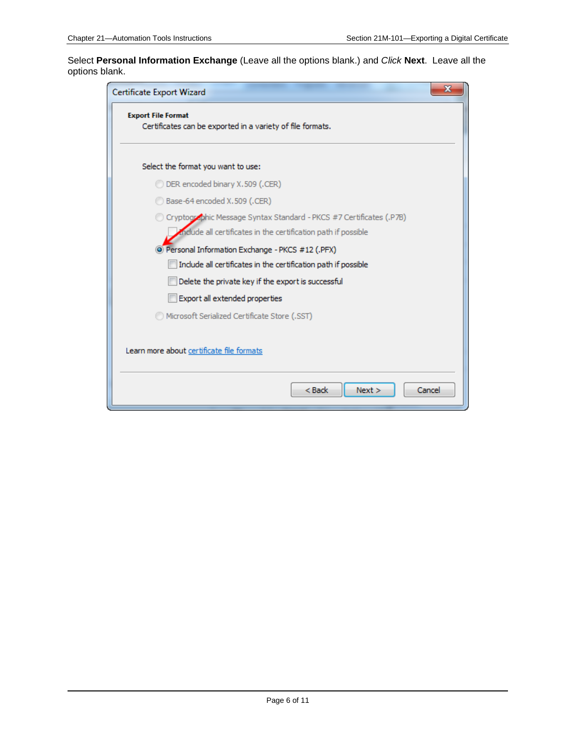Select **Personal Information Exchange** (Leave all the options blank.) and *Click* **Next**. Leave all the options blank.

| ж<br>Certificate Export Wizard                                                          |
|-----------------------------------------------------------------------------------------|
| <b>Export File Format</b><br>Certificates can be exported in a variety of file formats. |
| Select the format you want to use:                                                      |
| DER encoded binary X,509 (.CER)                                                         |
| Base-64 encoded X.509 (.CER)                                                            |
| O Cryptographic Message Syntax Standard - PKCS #7 Certificates (.P7B)                   |
| Include all certificates in the certification path if possible                          |
| O Personal Information Exchange - PKCS #12 (.PFX)                                       |
| Include all certificates in the certification path if possible                          |
| Delete the private key if the export is successful                                      |
| Export all extended properties                                                          |
| Microsoft Serialized Certificate Store (.SST)                                           |
| Learn more about certificate file formats                                               |
| $<$ Back<br>Next ><br>Cancel                                                            |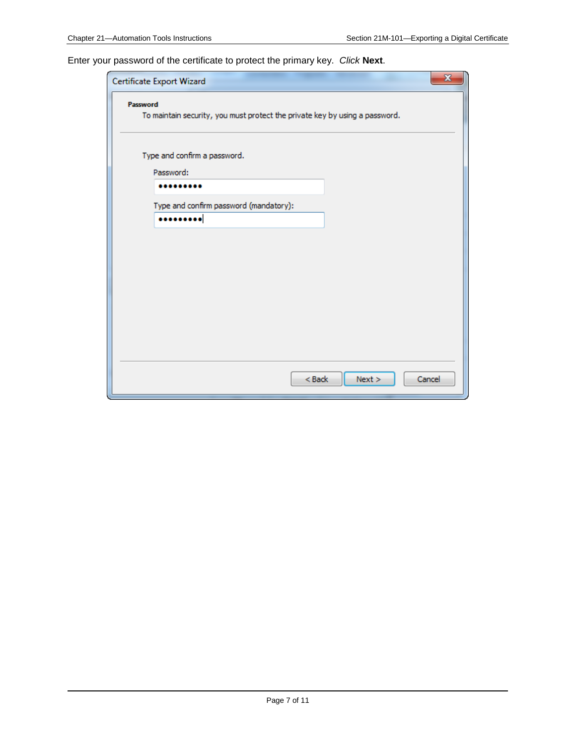Enter your password of the certificate to protect the primary key. *Click* **Next**.

| $\mathbf{x}$<br>Certificate Export Wizard                                   |  |  |  |
|-----------------------------------------------------------------------------|--|--|--|
| Password                                                                    |  |  |  |
| To maintain security, you must protect the private key by using a password. |  |  |  |
|                                                                             |  |  |  |
| Type and confirm a password.                                                |  |  |  |
| Password:                                                                   |  |  |  |
|                                                                             |  |  |  |
| Type and confirm password (mandatory):                                      |  |  |  |
|                                                                             |  |  |  |
|                                                                             |  |  |  |
|                                                                             |  |  |  |
|                                                                             |  |  |  |
|                                                                             |  |  |  |
|                                                                             |  |  |  |
|                                                                             |  |  |  |
|                                                                             |  |  |  |
|                                                                             |  |  |  |
|                                                                             |  |  |  |
|                                                                             |  |  |  |
| $Back$<br>Next<br>Cancel                                                    |  |  |  |
|                                                                             |  |  |  |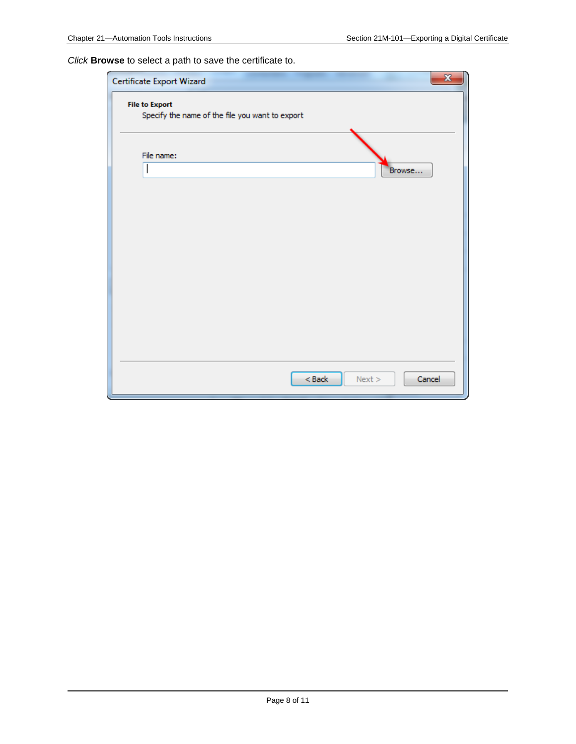*Click* **Browse** to select a path to save the certificate to.

| Certificate Export Wizard                                                | $\mathbf{x}$ |
|--------------------------------------------------------------------------|--------------|
| <b>File to Export</b><br>Specify the name of the file you want to export |              |
| File name:<br>I<br>Browse                                                |              |
|                                                                          |              |
|                                                                          |              |
|                                                                          |              |
|                                                                          |              |
| $Back$<br>Next                                                           | Cancel       |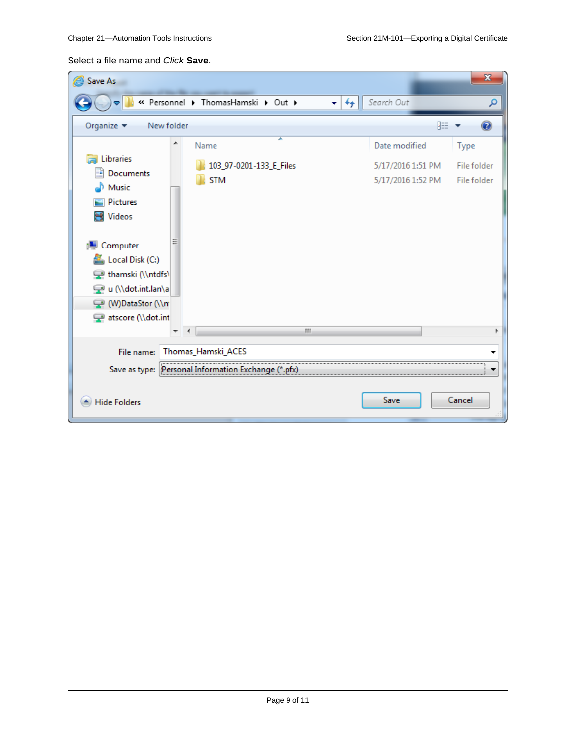#### Select a file name and *Click* **Save**.

| Save As<br>@                                                                                                                                               |                                                         | $\mathbf{x}$                       |
|------------------------------------------------------------------------------------------------------------------------------------------------------------|---------------------------------------------------------|------------------------------------|
| « Personnel > ThomasHamski > Out ><br>$\ddot{+}$<br>▾∣                                                                                                     | Search Out                                              | م                                  |
| Organize $\blacktriangledown$<br>New folder                                                                                                                | 睚                                                       |                                    |
| ▲<br>Name<br>Libraries<br>103_97-0201-133_E_Files<br>Documents<br><b>STM</b><br>Music<br>Pictures<br>Videos                                                | Date modified<br>5/17/2016 1:51 PM<br>5/17/2016 1:52 PM | Type<br>File folder<br>File folder |
| <b>I</b> Computer<br>Local Disk (C:)<br>thamski (\\ntdfs\<br>u (\\dot.int.lan\a<br>W)DataStor (\\n<br>atscore (\\dot.int<br>m.<br>$\overline{\phantom{a}}$ |                                                         |                                    |
| Thomas_Hamski_ACES<br>File name:                                                                                                                           |                                                         |                                    |
| <br>Save as type:<br>Personal Information Exchange (*.pfx)                                                                                                 |                                                         |                                    |
| <b>Hide Folders</b>                                                                                                                                        | Save                                                    | Cancel                             |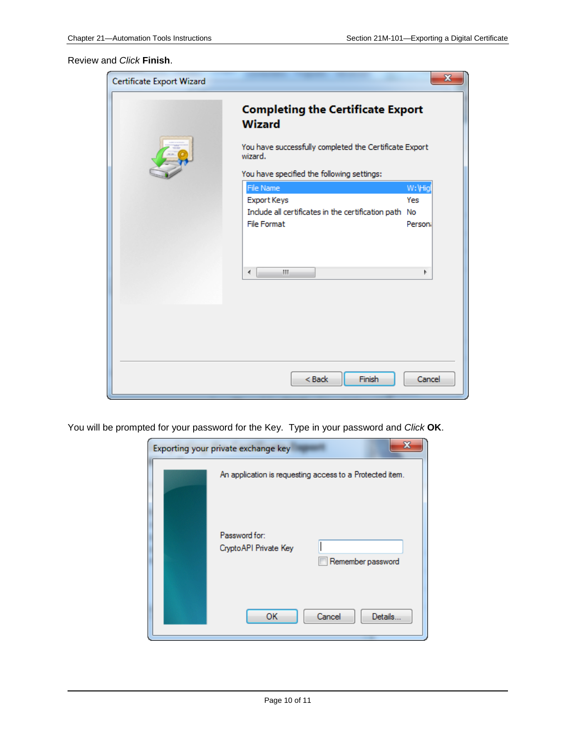#### Review and *Click* **Finish**.

| Certificate Export Wizard |                                                                   | $\mathbf{x}$ |  |
|---------------------------|-------------------------------------------------------------------|--------------|--|
|                           | <b>Completing the Certificate Export</b><br><b>Wizard</b>         |              |  |
|                           | You have successfully completed the Certificate Export<br>wizard. |              |  |
|                           | You have specified the following settings:                        |              |  |
|                           | File Name                                                         | W: Higl      |  |
|                           | Export Keys                                                       | Yes          |  |
|                           | Include all certificates in the certification path No             |              |  |
|                           | <b>File Format</b>                                                | Personi      |  |
|                           |                                                                   |              |  |
|                           | m.<br>∢                                                           | þ            |  |
|                           |                                                                   |              |  |
|                           |                                                                   |              |  |
|                           |                                                                   |              |  |
|                           |                                                                   |              |  |
|                           |                                                                   |              |  |
|                           |                                                                   |              |  |
|                           | Finish<br>$<$ Back                                                | Cancel       |  |

You will be prompted for your password for the Key. Type in your password and *Click* **OK**.

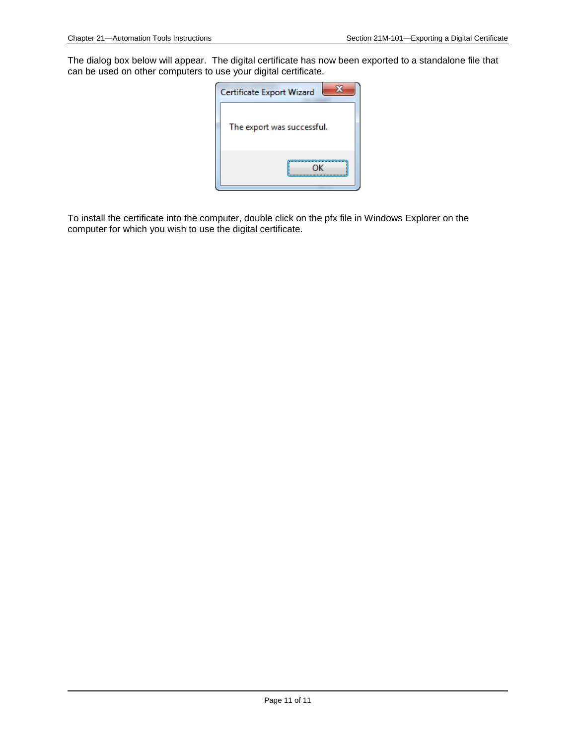The dialog box below will appear. The digital certificate has now been exported to a standalone file that can be used on other computers to use your digital certificate.



To install the certificate into the computer, double click on the pfx file in Windows Explorer on the computer for which you wish to use the digital certificate.